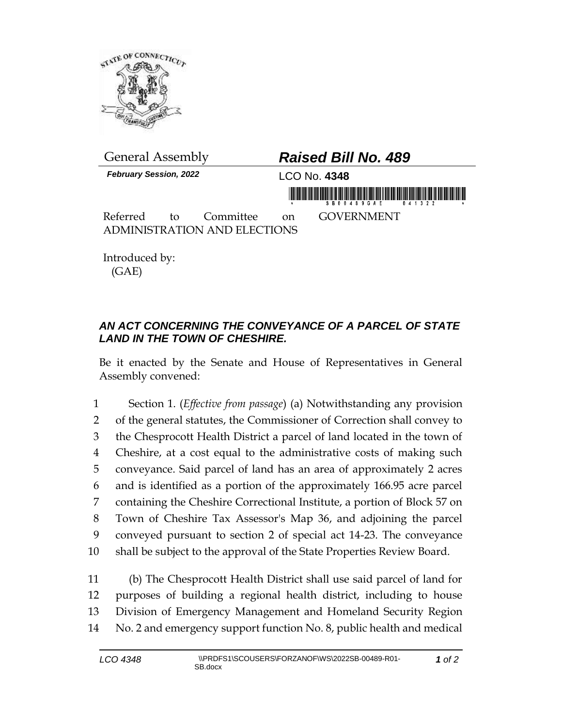

General Assembly *Raised Bill No. 489 February Session, 2022* LCO No. **4348** in mondial is in this fifth for making in the form of the Referred to Committee on GOVERNMENT ADMINISTRATION AND ELECTIONS

Introduced by: (GAE)

## *AN ACT CONCERNING THE CONVEYANCE OF A PARCEL OF STATE LAND IN THE TOWN OF CHESHIRE.*

Be it enacted by the Senate and House of Representatives in General Assembly convened:

 Section 1. (*Effective from passage*) (a) Notwithstanding any provision of the general statutes, the Commissioner of Correction shall convey to the Chesprocott Health District a parcel of land located in the town of Cheshire, at a cost equal to the administrative costs of making such conveyance. Said parcel of land has an area of approximately 2 acres and is identified as a portion of the approximately 166.95 acre parcel containing the Cheshire Correctional Institute, a portion of Block 57 on Town of Cheshire Tax Assessor's Map 36, and adjoining the parcel conveyed pursuant to section 2 of special act 14-23. The conveyance shall be subject to the approval of the State Properties Review Board.

 (b) The Chesprocott Health District shall use said parcel of land for purposes of building a regional health district, including to house Division of Emergency Management and Homeland Security Region No. 2 and emergency support function No. 8, public health and medical